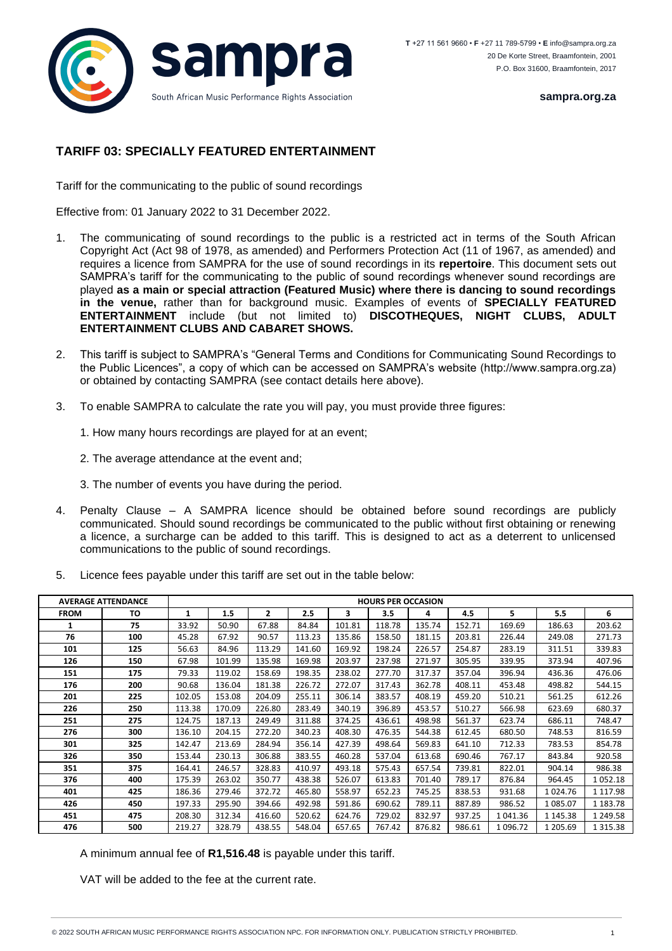

**sampra.org.za**

## **TARIFF 03: SPECIALLY FEATURED ENTERTAINMENT**

Tariff for the communicating to the public of sound recordings

Effective from: 01 January 2022 to 31 December 2022.

- 1. The communicating of sound recordings to the public is a restricted act in terms of the South African Copyright Act (Act 98 of 1978, as amended) and Performers Protection Act (11 of 1967, as amended) and requires a licence from SAMPRA for the use of sound recordings in its **repertoire**. This document sets out SAMPRA's tariff for the communicating to the public of sound recordings whenever sound recordings are played **as a main or special attraction (Featured Music) where there is dancing to sound recordings in the venue,** rather than for background music. Examples of events of **SPECIALLY FEATURED ENTERTAINMENT** include (but not limited to) **DISCOTHEQUES, NIGHT CLUBS, ADULT ENTERTAINMENT CLUBS AND CABARET SHOWS.**
- 2. This tariff is subject to SAMPRA's "General Terms and Conditions for Communicating Sound Recordings to the Public Licences", a copy of which can be accessed on SAMPRA's website (http://www.sampra.org.za) or obtained by contacting SAMPRA (see contact details here above).
- 3. To enable SAMPRA to calculate the rate you will pay, you must provide three figures:
	- 1. How many hours recordings are played for at an event;
	- 2. The average attendance at the event and;
	- 3. The number of events you have during the period.
- 4. Penalty Clause A SAMPRA licence should be obtained before sound recordings are publicly communicated. Should sound recordings be communicated to the public without first obtaining or renewing a licence, a surcharge can be added to this tariff. This is designed to act as a deterrent to unlicensed communications to the public of sound recordings.
- 5. Licence fees payable under this tariff are set out in the table below:

| <b>AVERAGE ATTENDANCE</b> |     | <b>HOURS PER OCCASION</b> |        |                |        |        |        |        |        |         |          |               |
|---------------------------|-----|---------------------------|--------|----------------|--------|--------|--------|--------|--------|---------|----------|---------------|
| <b>FROM</b>               | TO  | 1                         | 1.5    | $\overline{2}$ | 2.5    | 3      | 3.5    | 4      | 4.5    | 5.      | 5.5      | 6             |
| 1                         | 75  | 33.92                     | 50.90  | 67.88          | 84.84  | 101.81 | 118.78 | 135.74 | 152.71 | 169.69  | 186.63   | 203.62        |
| 76                        | 100 | 45.28                     | 67.92  | 90.57          | 113.23 | 135.86 | 158.50 | 181.15 | 203.81 | 226.44  | 249.08   | 271.73        |
| 101                       | 125 | 56.63                     | 84.96  | 113.29         | 141.60 | 169.92 | 198.24 | 226.57 | 254.87 | 283.19  | 311.51   | 339.83        |
| 126                       | 150 | 67.98                     | 101.99 | 135.98         | 169.98 | 203.97 | 237.98 | 271.97 | 305.95 | 339.95  | 373.94   | 407.96        |
| 151                       | 175 | 79.33                     | 119.02 | 158.69         | 198.35 | 238.02 | 277.70 | 317.37 | 357.04 | 396.94  | 436.36   | 476.06        |
| 176                       | 200 | 90.68                     | 136.04 | 181.38         | 226.72 | 272.07 | 317.43 | 362.78 | 408.11 | 453.48  | 498.82   | 544.15        |
| 201                       | 225 | 102.05                    | 153.08 | 204.09         | 255.11 | 306.14 | 383.57 | 408.19 | 459.20 | 510.21  | 561.25   | 612.26        |
| 226                       | 250 | 113.38                    | 170.09 | 226.80         | 283.49 | 340.19 | 396.89 | 453.57 | 510.27 | 566.98  | 623.69   | 680.37        |
| 251                       | 275 | 124.75                    | 187.13 | 249.49         | 311.88 | 374.25 | 436.61 | 498.98 | 561.37 | 623.74  | 686.11   | 748.47        |
| 276                       | 300 | 136.10                    | 204.15 | 272.20         | 340.23 | 408.30 | 476.35 | 544.38 | 612.45 | 680.50  | 748.53   | 816.59        |
| 301                       | 325 | 142.47                    | 213.69 | 284.94         | 356.14 | 427.39 | 498.64 | 569.83 | 641.10 | 712.33  | 783.53   | 854.78        |
| 326                       | 350 | 153.44                    | 230.13 | 306.88         | 383.55 | 460.28 | 537.04 | 613.68 | 690.46 | 767.17  | 843.84   | 920.58        |
| 351                       | 375 | 164.41                    | 246.57 | 328.83         | 410.97 | 493.18 | 575.43 | 657.54 | 739.81 | 822.01  | 904.14   | 986.38        |
| 376                       | 400 | 175.39                    | 263.02 | 350.77         | 438.38 | 526.07 | 613.83 | 701.40 | 789.17 | 876.84  | 964.45   | 1052.18       |
| 401                       | 425 | 186.36                    | 279.46 | 372.72         | 465.80 | 558.97 | 652.23 | 745.25 | 838.53 | 931.68  | 1024.76  | 1 1 1 7 . 9 8 |
| 426                       | 450 | 197.33                    | 295.90 | 394.66         | 492.98 | 591.86 | 690.62 | 789.11 | 887.89 | 986.52  | 1 085.07 | 1 183.78      |
| 451                       | 475 | 208.30                    | 312.34 | 416.60         | 520.62 | 624.76 | 729.02 | 832.97 | 937.25 | 1041.36 | 1 145.38 | 1 249.58      |
| 476                       | 500 | 219.27                    | 328.79 | 438.55         | 548.04 | 657.65 | 767.42 | 876.82 | 986.61 | 1096.72 | 1 205.69 | 1 3 1 5 . 3 8 |

A minimum annual fee of **R1,516.48** is payable under this tariff.

VAT will be added to the fee at the current rate.